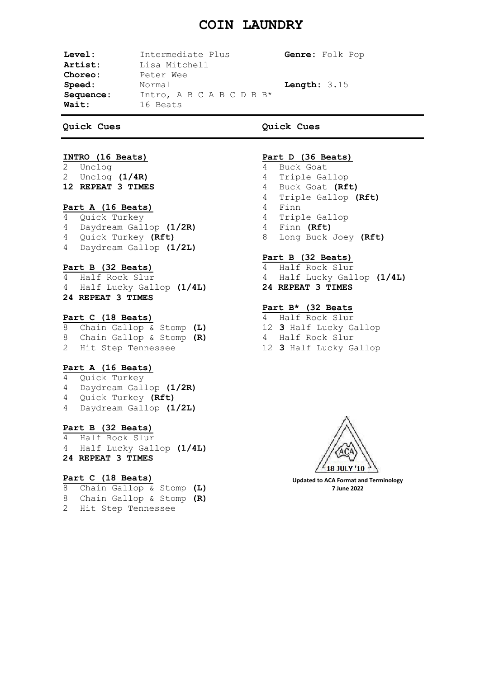## **COIN LAUNDRY**

|                                          |                       | Genre: Folk Pop   |
|------------------------------------------|-----------------------|-------------------|
| Lisa Mitchell                            |                       |                   |
| Peter Wee                                |                       |                   |
| Normal                                   | <b>Length:</b> $3.15$ |                   |
| Intro, A B C A B C D B $B^*$<br>16 Beats |                       |                   |
|                                          |                       | Intermediate Plus |

**Quick Cues**

## **Quick Cues**

# **INTRO (16 Beats)**

Unclog 2 Unclog **(1/4R) 12 REPEAT 3 TIMES**

## **Part A (16 Beats)**

- 4 Quick Turkey
- 4 Daydream Gallop **(1/2R)** 4 Quick Turkey **(Rft)**
- 4 Daydream Gallop **(1/2L)**
- 

## **Part B (32 Beats)**

- 4 Half Rock Slur
- 4 Half Lucky Gallop **(1/4L) 24 REPEAT 3 TIMES**

## **Part C (18 Beats)**

|                      |  | 8 Chain Gallop & Stomp (L) |  |
|----------------------|--|----------------------------|--|
|                      |  | 8 Chain Gallop & Stomp (R) |  |
| 2 Hit Step Tennessee |  |                            |  |

## **Part A (16 Beats)**

- 4 Quick Turkey
- 4 Daydream Gallop **(1/2R)**
- 4 Quick Turkey **(Rft)**
- 4 Daydream Gallop **(1/2L)**

## **Part B (32 Beats)**

4 Half Rock Slur 4 Half Lucky Gallop **(1/4L) 24 REPEAT 3 TIMES**

## **Part C (18 Beats)**

- 8 Chain Gallop & Stomp **(L)**
- 8 Chain Gallop & Stomp **(R)**
- 2 Hit Step Tennessee

#### **Part D (36 Beats)**

- 4 Buck Goat
- 4 Triple Gallop
- 4 Buck Goat **(Rft)**
- 4 Triple Gallop **(Rft)**
- 4 Finn
- 4 Triple Gallop
- 4 Finn **(Rft)**
- 8 Long Buck Joey **(Rft)**

#### **Part B (32 Beats)**

- 4 Half Rock Slur 4 Half Lucky Gallop **(1/4L)**
- **24 REPEAT 3 TIMES**

## **Part B\* (32 Beats**

- 4 Half Rock Slur
- 12 **3** Half Lucky Gallop
- 4 Half Rock Slur
- 12 **3** Half Lucky Gallop



**Updated to ACA Format and Terminology 7 June 2022**